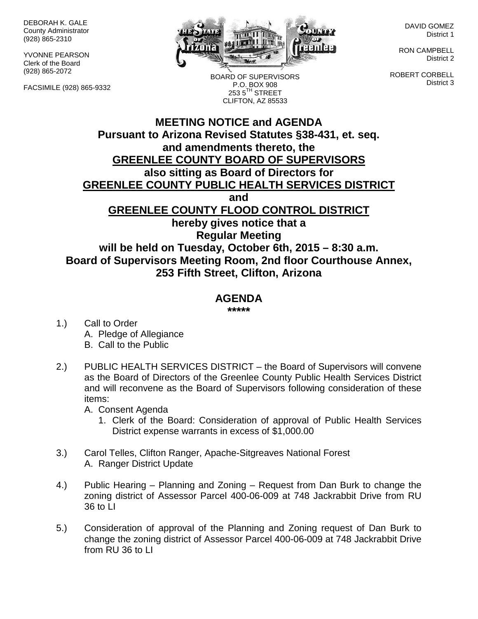DEBORAH K. GALE County Administrator (928) 865-2310

YVONNE PEARSON Clerk of the Board (928) 865-2072

FACSIMILE (928) 865-9332



BOARD OF SUPERVISORS P.O. BOX 908  $2535^{\text{TH}}$  STREET CLIFTON, AZ 85533

DAVID GOMEZ District 1

RON CAMPBELL District 2

ROBERT CORBELL District 3

## **MEETING NOTICE and AGENDA Pursuant to Arizona Revised Statutes §38-431, et. seq. and amendments thereto, the GREENLEE COUNTY BOARD OF SUPERVISORS also sitting as Board of Directors for GREENLEE COUNTY PUBLIC HEALTH SERVICES DISTRICT and GREENLEE COUNTY FLOOD CONTROL DISTRICT hereby gives notice that a Regular Meeting will be held on Tuesday, October 6th, 2015 – 8:30 a.m. Board of Supervisors Meeting Room, 2nd floor Courthouse Annex, 253 Fifth Street, Clifton, Arizona**

## **AGENDA**

**\*\*\*\*\***

- 1.) Call to Order A. Pledge of Allegiance B. Call to the Public
- 2.) PUBLIC HEALTH SERVICES DISTRICT the Board of Supervisors will convene as the Board of Directors of the Greenlee County Public Health Services District and will reconvene as the Board of Supervisors following consideration of these items:

A. Consent Agenda

- 1. Clerk of the Board: Consideration of approval of Public Health Services District expense warrants in excess of \$1,000.00
- 3.) Carol Telles, Clifton Ranger, Apache-Sitgreaves National Forest A. Ranger District Update
- 4.) Public Hearing Planning and Zoning Request from Dan Burk to change the zoning district of Assessor Parcel 400-06-009 at 748 Jackrabbit Drive from RU 36 to LI
- 5.) Consideration of approval of the Planning and Zoning request of Dan Burk to change the zoning district of Assessor Parcel 400-06-009 at 748 Jackrabbit Drive from RU 36 to LI